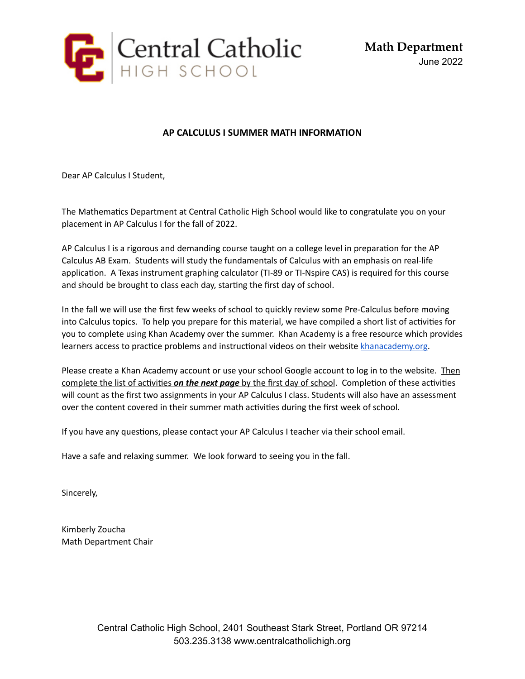

**Math Department** June 2022

## **AP CALCULUS I SUMMER MATH INFORMATION**

Dear AP Calculus I Student,

The Mathematics Department at Central Catholic High School would like to congratulate you on your placement in AP Calculus I for the fall of 2022.

AP Calculus I is a rigorous and demanding course taught on a college level in preparation for the AP Calculus AB Exam. Students will study the fundamentals of Calculus with an emphasis on real-life application. A Texas instrument graphing calculator (TI-89 or TI-Nspire CAS) is required for this course and should be brought to class each day, starting the first day of school.

In the fall we will use the first few weeks of school to quickly review some Pre-Calculus before moving into Calculus topics. To help you prepare for this material, we have compiled a short list of activities for you to complete using Khan Academy over the summer. Khan Academy is a free resource which provides learners access to practice problems and instructional videos on their website [khanacademy.org.](http://khanacademy.org/)

Please create a Khan Academy account or use your school Google account to log in to the website. Then complete the list of activities *on the next page* by the first day of school. Completion of these activities will count as the first two assignments in your AP Calculus I class. Students will also have an assessment over the content covered in their summer math activities during the first week of school.

If you have any questions, please contact your AP Calculus I teacher via their school email.

Have a safe and relaxing summer. We look forward to seeing you in the fall.

Sincerely,

Kimberly Zoucha Math Department Chair